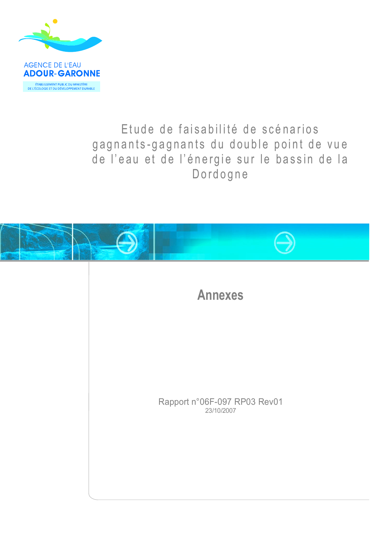

#### Etude de faisabilité de scénarios gagnants-gagnants du double point de vue de l'eau et de l'énergie sur le bassin de la Dordogne



**Annexes** 

Rapport n°06F-097 RP03 Rev01<br>
23/10/2007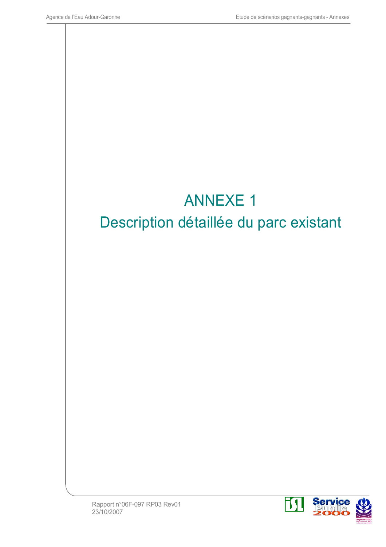

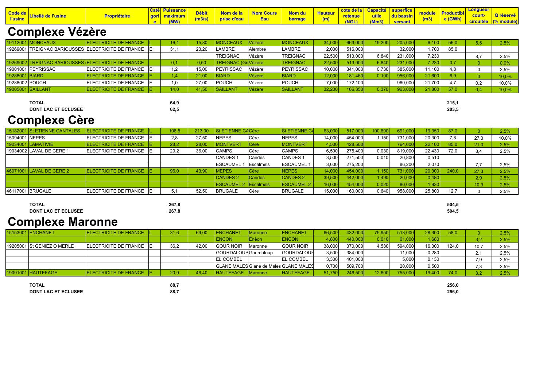| Code de<br>l'usine | Propriétaire | gori maximum<br>e (MW) | <b>Débit</b> Nom de la Nom Cours Nom du Hauteur<br>(m3/s) prise d'eau <b>Eau</b> barrage (m) |  |  |  | cote de la Capacité superfice<br>retenue utile du bassin module Productibl Court- Q réservé<br>(NGL) (Mm3) versant (m3) e (GWh) circuitée (% module) |  |
|--------------------|--------------|------------------------|----------------------------------------------------------------------------------------------|--|--|--|------------------------------------------------------------------------------------------------------------------------------------------------------|--|
|                    |              |                        |                                                                                              |  |  |  |                                                                                                                                                      |  |

#### **Complexe Vézère**

|                | 19112001 MONCEAUX  | ELECTRICITE DE FRANCE  L                             | 16.  | 15,80 | MONCEAUX                       | Vézère  | <b>MONCEAUX</b>  |        | 663,000 | 19,200 | 205,000 | 6.100  | 56,0 |    | 2,5%     |
|----------------|--------------------|------------------------------------------------------|------|-------|--------------------------------|---------|------------------|--------|---------|--------|---------|--------|------|----|----------|
|                |                    | 19269001 TREIGNAC BARIOUSSES ELECTRICITE DE FRANCE E | 31,  | 23,20 | LAMBRE                         | Alembre | <b>AMBRE</b>     | 2.000  | 516,000 |        | 32,000  | 1,700  | 85,0 |    |          |
|                |                    |                                                      |      |       | <b>TREIGNAC</b>                | Vézère  | <b>TREIGNAC</b>  | 22,500 | 513,000 | 6,840  | 231,000 | 7,230  |      |    | 2,5%     |
|                |                    | 19269002 TREIGNAC BARIOUSSES ELECTRICITE DE FRANCE   |      | 0,50  | TREIGNAC (Gr <sup>Vézère</sup> |         | <b>TREIGNAC</b>  | 22,50  | 513,000 | 6,840  | 231,000 | 7,230  |      |    | 0,0%     |
|                | 19001001 PEYRISSAC | ELECTRICITE DE FRANCE E                              |      | 15,00 | <b>PEYRISSAC</b>               | Vézère  | <b>PEYRISSAC</b> | 10,000 | 341,000 | 0,730  | 385,000 | 11,100 | 4.8  |    | 2,5%     |
| 19288001 BIARD |                    | ELECTRICITE DE FRANCE   F                            |      | 21,00 | <b>BIARD</b>                   | Vézère  | BIARD            | 2,000  | 181,460 | 0,100  | 956,000 | 21,600 |      |    | $10,0\%$ |
| 19288002 POUCH |                    | ELECTRICITE DE FRANCE   F                            |      | 27,00 | <b>POUCH</b>                   | Vézère  | <b>POUCH</b>     | 7,000  | 172,100 |        | 960,000 | 21,700 |      | ገጋ | 10,0%    |
|                | 19005001 SAILLANT  | ELECTRICITE DE FRANCE E                              | 14,0 | 41,50 | <b>SAILLANT</b>                | Vézère  | SAILLANT         | 32,200 | 166,350 | 0,370  | 963,000 | 21,800 | 57.0 |    | $10,0\%$ |

**DONT LAC ET ECLUSEE** 

64,9  $62,5$ 

## **Complexe Cère**

**TOTAL** 

|                | 15182001 St ETIENNE CANTALES | ELECTRICITE DE FRANCE     | 106,5 | 213,00 | St ETIENNE CACère  |                  | <b>St ETIENNE CA</b> | 63,000 |         | 00,600 | 691,000 | 19,350 | 87,0  |      | 2,5%  |
|----------------|------------------------------|---------------------------|-------|--------|--------------------|------------------|----------------------|--------|---------|--------|---------|--------|-------|------|-------|
| 15094001 NEPES |                              | ELECTRICITE DE FRANCE     | 2,8   | 27,50  | <b>INEPES</b>      | Cère             | <b>NEPES</b>         | 14,000 | 454,000 | .150   | 731,000 | 20,300 | 7,8   | 27,3 | 10,0% |
|                | 19034001 LAMATIVIE           | ELECTRICITE DE FRANCE   E | 28,2  | 28,00  | <b>MONTVERT</b>    | Cère             | <b>MONTVERT</b>      | 4,500  | 428,500 |        | 764,000 | 22,100 | 85,0  | 21.0 | 2,5%  |
|                | 19034002 LAVAL DE CERE 1     | ELECTRICITE DE FRANCE     | 29,2  | 36,00  | <b>CAMPS</b>       | <b>Cère</b>      | <b>CAMPS</b>         | 6,500  | 275,400 | 0,030  | 819,000 | 22,430 | 72,0  |      | 2,5%  |
|                |                              |                           |       |        | CANDES <sup></sup> | Candes           | <b>CANDES1</b>       | 3,500  | 271,500 | 0.010  | 20,800  | 0,510  |       |      |       |
|                |                              |                           |       |        | <b>ESCAUMEL</b>    | <b>Escalmels</b> | <b>ESCAUMEL</b>      | 3,600  | 275,200 |        | 86,200  | 2,070  |       |      | 2.5%  |
|                | 46071001 LAVAL DE CERE 2     | ELECTRICITE DE FRANCE E   | 96,0  | 43,90  | MEPES              | Cère             | <b>NEPES</b>         | 14,000 | 454,00  | 150    | 731,000 | 20,30  | 240,0 | 27.3 | 2,5%  |
|                |                              |                           |       |        | <b>CANDES 2</b>    | Candes           | <b>CANDES 2</b>      | 39,500 | 442,00  | .490   | 20,000  | 0,480  |       | 2,9  | 2,5%  |
|                |                              |                           |       |        | <b>ESCAUMEL 2</b>  | Escalmels        | <b>ESCAUMEL</b>      | 16,000 | 454,00  | 0,020  | 80,000  | 1,930  |       | 0,3  | 2,5%  |
|                | 46117001 BRUGALE             | ELECTRICITE DE FRANCE     | 5,1   | 52,50  | <b>BRUGALE</b>     | Cère             | <b>BRUGALE</b>       | 15,000 | 160,000 | 0,640  | 958,000 | 25,800 | 12,7  |      | 2.5%  |

| TOTAL                      | 267.8 |
|----------------------------|-------|
| <b>DONT LAC ET ECLUSEE</b> | 267.8 |

# **Complexe Maronne**

| 15153001 ENCHANET          | ELECTRICITE DE FRANCE  L  | 31,6 | 69,00 | <b>ENCHANET</b>       | Maronne         | <b>ENCHANET</b>                        |        | 432,000 | 75,950 | 513,000 | 28,300 | 58,0  |        | 2,5% |
|----------------------------|---------------------------|------|-------|-----------------------|-----------------|----------------------------------------|--------|---------|--------|---------|--------|-------|--------|------|
|                            |                           |      |       | <b>ENCON</b>          | <b>Enèon</b>    | <b>ENCON</b>                           | 1,800  | 440,000 | 0.010  | 61,00   | 1,680  |       |        | 2,5% |
| 19205001 St GENIEZ O MERLE | ELECTRICITE DE FRANCE E   | 36,2 | 42,00 | <b>GOUR NOIR</b>      | <b>IMaronne</b> | <b>GOUR NOIR</b>                       | 38,000 | 370,000 | 4,580  | 594,000 | 16,300 | 124,0 | 10,7   | 2,5% |
|                            |                           |      |       | GOURDALOUP Gourdaloup |                 | <b>GOURDALOUR</b>                      | 3,500  | 384,000 |        | 11,000  | 0,280  |       |        | 2,5% |
|                            |                           |      |       | <b>EL COMBEL</b>      |                 | <b>EL COMBEL</b>                       | 3,300  | 401,000 |        | 5,000   | 0,130  |       | . വ    | 2,5% |
|                            |                           |      |       |                       |                 | GLANE MALES Glane de Males GLANE MALES | 0.700  | 509,700 |        | 20,000  | 0,500  |       | $\sim$ | 2,5% |
| 19091001 HAUTEFAGE         | ELECTRICITE DE FRANCE   E | 20,9 | 46,40 | HAUTEFAGE Maronne     |                 | <b>HAUTEFAGE</b>                       | 51.750 | 246,500 | 12,600 | 755,000 | 19,400 | 74.0  |        | 2,5% |

**TOTAL** 88,7 **DONT LAC ET ECLUSEE** 88,7  $215,1$  $203,5$ 

 $504, 5$  $504,5$ 

256,0 256,0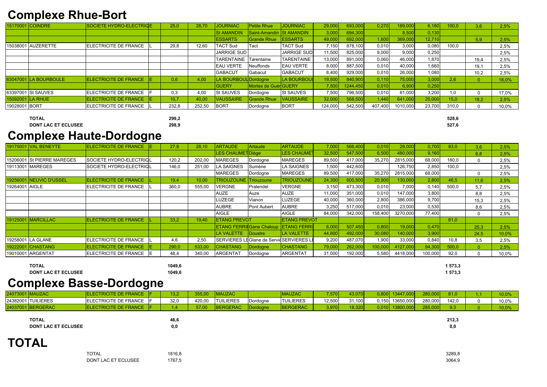### **Complexe Rhue-Bort**

|               | 15170001 COINDRE      | SOCIETE HYDRO-ELECTRICE      |     | 25,0  | 28,70  | <b>JOURNIAC</b>      | <b>Petite Rhue</b>   | <b>JOURNIAC</b>         | 29,000  | 693,000  | 0,270   | 189,000  | 6,180  | 00,0  | 3,6  | 2,5%  |
|---------------|-----------------------|------------------------------|-----|-------|--------|----------------------|----------------------|-------------------------|---------|----------|---------|----------|--------|-------|------|-------|
|               |                       |                              |     |       |        | <b>St AMANDIN</b>    | Saint-Amandin        | <b>St AMANDIN</b>       | 3,000   | 694,300  |         | 8,500    | 0,130  |       |      |       |
|               |                       |                              |     |       |        | <b>ESSARTS</b>       | <b>Grande Rhue</b>   | <b>ESSARTS</b>          | 49,000  | 692,000  | 1,600   | 369,000  | 12,710 |       | 5,9  | 2,5%  |
|               | 15038001 AUZERETTE    | ELECTRICITE DE FRANCE        |     | 29,8  | 12,60  | <b>TACT Sud</b>      | Tact                 | <b>TACT Sud</b>         | 7,150   | 878,100  | 0.010   | 3,000    | 0,080  | 100,0 |      | 2,5%  |
|               |                       |                              |     |       |        | <b>JARRIGE SUD</b>   |                      | <b>JARRIGE SUD</b>      | 11,500  | 825,000  | 9,000   | 9,000    | 0,250  |       |      | 2,5%  |
|               |                       |                              |     |       |        | <b>TARENTAINE</b>    | <b>ITarentaine</b>   | <b>TARENTAINE</b>       | 13,000  | 891,000  | 0.060   | 46,000   | 1,870  |       | 19,4 | 2,5%  |
|               |                       |                              |     |       |        | <b>EAU VERTE</b>     | Neuffonds            | <b>EAU VERTE</b>        | 8,000   | 887,500  | 0.010   | 40,000   | 1,660  |       | 19,1 | 2,5%  |
|               |                       |                              |     |       |        | <b>GABACUT</b>       | Gabacut              | <b>GABACUT</b>          | 8,400   | 929,000  | 0.010   | 26,000   | 1,080  |       | 10.2 | 2,5%  |
|               | 63047001 LA BOURBOULE | ELECTRICITE DE FRANCE        | IE. | 0,6   | 4,00   | LA BOURBOUL Dordogne |                      | <b>LA BOURBOU</b>       | 19,500  | 840,900  | 0,110   | 75,000   | 3,000  | 2,6   |      | 18,0% |
|               |                       |                              |     |       |        | <b>GUERY</b>         | Mortes de Guér GUERY |                         | 7,500   | 1244,450 | 0.010   | 6,900    | 0,250  |       |      |       |
|               | 63397001 St SAUVES    | <b>ELECTRICITE DE FRANCE</b> |     | 0,3   | 4,00   | <b>St SAUVES</b>     | Dordogne             | <b>St SAUVES</b>        | 7,500   | 796,500  | 0.010   | 81,000   | 3,200  | 1,0   |      | 17,0% |
|               | 15092001 LA RHUE      | <b>ELECTRICITE DE FRANCE</b> |     | 10,7  | 40,00  | <b>VAUSSAIRE</b>     | <b>Grande Rhue</b>   | <b><i>VAUSSAIRE</i></b> | 32,000  | 568,500  | 1,440   | 641,000  | 20,000 | 15,0  | 18.2 | 2,5%  |
| 19028001 BORT |                       | <b>ELECTRICITE DE FRANCE</b> |     | 232,8 | 252,50 | BORT                 | Dordogne             | <b>BORT</b>             | 124,000 | 542,500  | 407,400 | 1010,000 | 23,700 | 310,0 |      | 10,0% |

**TOTAL** 

299,2

**DONT LAC ET ECLUSEE** 

298,9

## **Complexe Haute-Dordogne**

|                  | <b>19175001 VAL BENEYTE</b> | <b>ELECTRICITE DE FRANCE</b> | IE. | 27,8  | 28,10  | <b>ARTAUDE</b>                  | Artaude                      | <b>ARTAUDE</b>      | 7,000  | 566,400 | 0,010   | 28,000   | 0,700   | 83,0  | 3,6  | 2,5%  |
|------------------|-----------------------------|------------------------------|-----|-------|--------|---------------------------------|------------------------------|---------------------|--------|---------|---------|----------|---------|-------|------|-------|
|                  |                             |                              |     |       |        | <b>LES CHAUMET</b>              | ¶Diège                       | <b>LES CHAUME</b>   | 32,500 | 547,500 | 6,500   | 480,000  | 9,160   |       | 6,8  | 2,5%  |
|                  | 15206001 St PIERRE MAREGES  | SOCIETE HYDRO-ELECTRICL      |     | 120,2 | 202,00 | <b>MAREGES</b>                  | Dordogne                     | <b>MAREGES</b>      | 89,500 | 417,000 | 35,270  | 2815,000 | 68,000  | 180,0 |      | 2,5%  |
|                  | 19113001 MAREGES            | SOCIETE HYDRO-ELECTRICL      |     | 146,0 | 251,00 | LA SAIGNES                      | Sumène                       | <b>LA SAIGNES</b>   | 1,500  | 442,600 |         | 126,750  | 2,850   | 100,0 |      | 2,5%  |
|                  |                             |                              |     |       |        | <b>MAREGES</b>                  | Dordogne                     | <b>MAREGES</b>      | 89,500 | 417,000 | 35,270  | 2815,000 | 68,000  |       |      | 2,5%  |
|                  | 19256001 NEUVIC D'USSEL     | <b>ELECTRICITE DE FRANCE</b> |     | 19,4  | 10,00  | <b>TRIOUZOUNE</b>               | Triouzoune                   | <b>TRIOUZOUNE</b>   | 24,300 | 600,500 | 20,900  | 130,000  | 2,800   | 46,5  | 11.6 | 2,5%  |
| 19264001   AIGLE |                             | ELECTRICITE DE FRANCE        |     | 360,0 | 555,00 | <b>VERGNE</b>                   | Pralendel                    | <b>VERGNE</b>       | 3,150  | 473,300 | 0,010   | 7,000    | 0,140   | 500,0 | 5,7  | 2,5%  |
|                  |                             |                              |     |       |        | <b>AUZE</b>                     | Auze                         | <b>AUZE</b>         | 11,000 | 351,000 | 0,010   | 147,000  | 3,800   |       | 8,8  | 2,5%  |
|                  |                             |                              |     |       |        | LUZEGE                          | Vianon                       | LUZEGE              | 40,000 | 360,000 | 2,800   | 386,000  | 9,700   |       | 15,3 | 2,5%  |
|                  |                             |                              |     |       |        | <b>AUBRE</b>                    | <b>Pont Aubert</b>           | <b>AUBRE</b>        | 3,250  | 517,000 | 0,010   | 23,000   | 0,530   |       | 8,6  | 2,5%  |
|                  |                             |                              |     |       |        | <b>AIGLE</b>                    |                              | <b>AIGLE</b>        | 84,000 | 342,000 | 158,400 | 3270,000 | 77,400  |       |      | 2,5%  |
|                  | 19125001 MARCILLAC          | <b>ELECTRICITE DE FRANCE</b> |     | 33,2  | 19,40  | <b>ETANG PREVOT</b>             |                              | <b>ETANG PREVOT</b> |        |         |         |          |         | 61,0  |      |       |
|                  |                             |                              |     |       |        | <b>ETANG FERRIEGane Chaloup</b> |                              | <b>ETANG FERRI</b>  | 6,000  | 507,450 | 0,800   | 19,000   | 0,470   |       | 25,3 | 2,5%  |
|                  |                             |                              |     |       |        | LA VALETTE                      | Doustre                      | LA VALETTE          | 44,800 | 492,000 | 30,080  | 140,000  | 3,900   |       | 24,5 | 10,0% |
|                  | 19258001 LA GLANE           | <b>ELECTRICITE DE FRANCE</b> |     | 4,6   | 2,50   | <b>SERVIERESL</b>               | EGlane de ServieSERVIERES LI |                     | 9,200  | 487,070 | 1,900   | 33,000   | 0,840   | 10,8  | 3,5  | 2,5%  |
|                  | 19222001 CHASTANG           | <b>ELECTRICITE DE FRANCE</b> | ΙE  | 290,0 | 533,00 | <b>CHASTANG</b>                 | Dordogne                     | <b>CHASTANG</b>     | 79,000 | 262,000 | 100,000 | 4127,000 | 94,300  | 500,0 |      | 2,5%  |
|                  | 19010001 ARGENTAT           | ELECTRICITE DE FRANCE        |     | 48,4  | 340,00 | <b>ARGENTAT</b>                 | Dordogne                     | <b>ARGENTAT</b>     | 31,000 | 192,000 | 5,580   | 4418,000 | 100,000 | 92,0  |      | 10,0% |

| TOTAL                      | 1049.6 |
|----------------------------|--------|
| <b>DONT LAC ET ECLUSEE</b> | 1049.6 |

# **Complexe Basse-Dordogne**

| 12407 JUU 1 |                  |                       | <b>V2 ON</b> | $- - -$ | 1auza( |          | <b>MAUZAC</b>    | $E = 76$ |        |       | 0.447     | 280,00  |       |       |
|-------------|------------------|-----------------------|--------------|---------|--------|----------|------------------|----------|--------|-------|-----------|---------|-------|-------|
| 24382001 TU | <b>TUILIERES</b> | ELECTRICITE DE FRANCE | 32,0         | 420,00  | LIERES | Dordogne | <b>TUILIERES</b> | 12,500   | ا1.100 | 0,150 | 13650,000 | 280,000 | 142,0 | 10,0% |
|             | 3ERAC            | TRICITE Z             |              | 57,00   |        |          | <b>ERGERAC</b>   |          |        | .0101 |           | יטט,טע  |       |       |

| <b>TOTAL</b>               | 46.6 |
|----------------------------|------|
| <b>DONT LAC ET ECLUSEE</b> | 0.0  |

# **TOTAL**

| <b>TOTAL</b>        | 1816.8 |
|---------------------|--------|
| DONT LAC ET ECLUSEE | 1767.5 |

528,6 527,6

1 573,3 1 573,3

> $212,3$  $0,0$

3289,8 3064,9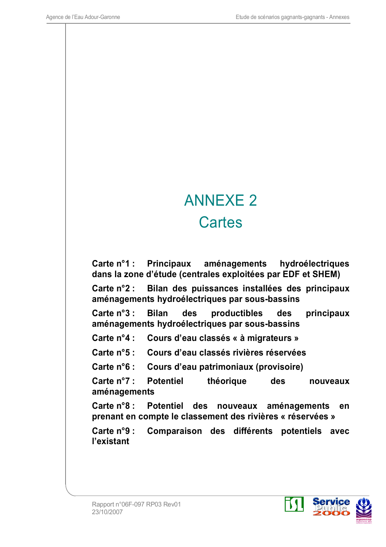# **ANNEXE 2 Cartes**

Carte  $n^{\circ}1$  : **Principaux** aménagements hydroélectriques dans la zone d'étude (centrales exploitées par EDF et SHEM)

Bilan des puissances installées des principaux Carte  $n^{\circ}2$  : aménagements hydroélectriques par sous-bassins

Carte  $n^{\circ}3$  : **Bilan** des productibles des principaux aménagements hydroélectriques par sous-bassins

Carte  $n^{\circ}4$  : Cours d'eau classés « à migrateurs »

Carte  $n^{\circ}5$  : Cours d'eau classés rivières réservées

Carte  $n^{\circ}6$  : Cours d'eau patrimoniaux (provisoire)

Carte  $n^{\circ}$  ?: **Potentiel** théorique **des** nouveaux aménagements

Carte  $n^{\circ}8$  : des nouveaux aménagements **Potentiel** en prenant en compte le classement des rivières « réservées »

Comparaison des différents potentiels avec Carte  $n^{\circ}9$  : l'existant

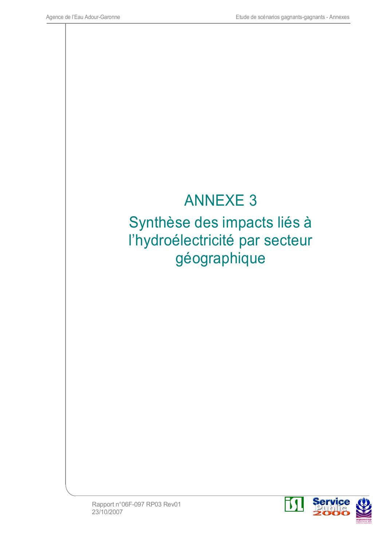

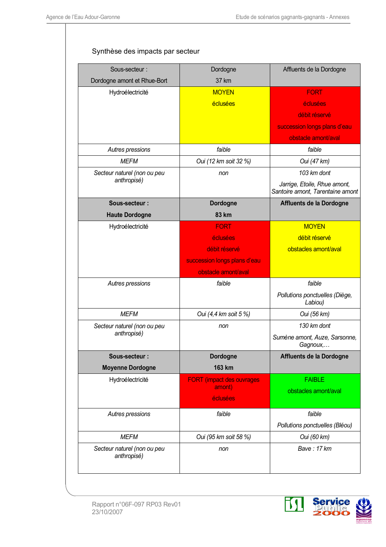#### Synthèse des impacts par secteur

| Sous-secteur:                              | Dordogne                         | Affluents de la Dordogne                                         |
|--------------------------------------------|----------------------------------|------------------------------------------------------------------|
| Dordogne amont et Rhue-Bort                | 37 km                            |                                                                  |
| Hydroélectricité                           | <b>MOYEN</b>                     | <b>FORT</b>                                                      |
|                                            | éclusées                         | éclusées                                                         |
|                                            |                                  | débit réservé                                                    |
|                                            |                                  | succession longs plans d'eau                                     |
|                                            |                                  | obstacle amont/aval                                              |
| Autres pressions                           | faible                           | faible                                                           |
| <b>MEFM</b>                                | Oui (12 km soit 32 %)            | Oui (47 km)                                                      |
| Secteur naturel (non ou peu                | non                              | 103 km dont                                                      |
| anthropisé)                                |                                  | Jarrige, Etoile, Rhue amont,<br>Santoire amont, Tarentaine amont |
| Sous-secteur:                              | <b>Dordogne</b>                  | Affluents de la Dordogne                                         |
| <b>Haute Dordogne</b>                      | 83 km                            |                                                                  |
| Hydroélectricité                           | <b>FORT</b>                      | <b>MOYEN</b>                                                     |
|                                            | éclusées                         | débit réservé                                                    |
|                                            | débit réservé                    | obstacles amont/aval                                             |
|                                            | succession longs plans d'eau     |                                                                  |
|                                            | obstacle amont/aval              |                                                                  |
| Autres pressions                           | faible                           | faible                                                           |
|                                            |                                  | Pollutions ponctuelles (Diège,<br>Labiou)                        |
| <b>MEFM</b>                                | Oui (4,4 km soit 5 %)            | Oui (56 km)                                                      |
| Secteur naturel (non ou peu                | non                              | 130 km dont                                                      |
| anthropisé)                                |                                  | Sumène amont, Auze, Sarsonne,<br>Gagnoux,                        |
| Sous-secteur:                              | <b>Dordogne</b>                  | Affluents de la Dordogne                                         |
| <b>Moyenne Dordogne</b>                    | 163 km                           |                                                                  |
| Hydroélectricité                           | <b>FORT</b> (impact des ouvrages | <b>FAIBLE</b>                                                    |
|                                            | amont)                           | obstacles amont/aval                                             |
|                                            | éclusées                         |                                                                  |
| Autres pressions                           | faible                           | faible                                                           |
|                                            |                                  | Pollutions ponctuelles (Bléou)                                   |
| <b>MEFM</b>                                | Oui (95 km soit 58 %)            | Oui (60 km)                                                      |
| Secteur naturel (non ou peu<br>anthropisé) | non                              | Bave: 17 km                                                      |

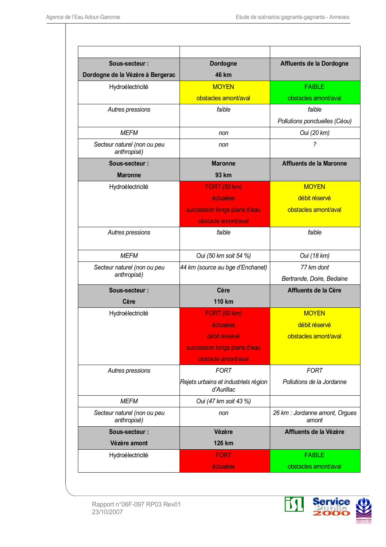| Sous-secteur:                              | <b>Dordogne</b>                                    | Affluents de la Dordogne                |
|--------------------------------------------|----------------------------------------------------|-----------------------------------------|
| Dordogne de la Vézère à Bergerac           | 46 km                                              |                                         |
| Hydroélectricité                           | <b>MOYEN</b>                                       | <b>FAIRLE</b>                           |
|                                            | obstacles amont/aval                               | obstacles amont/aval                    |
| Autres pressions                           | faible                                             | faible                                  |
|                                            |                                                    | Pollutions ponctuelles (Céou)           |
| <b>MFFM</b>                                | non                                                | Oui (20 km)                             |
| Secteur naturel (non ou peu<br>anthropisé) | non                                                | $\tilde{?}$                             |
| Sous-secteur:                              | <b>Maronne</b>                                     | <b>Affluents de la Maronne</b>          |
| <b>Maronne</b>                             | 93 km                                              |                                         |
| Hydroélectricité                           | <b>FORT (50 km)</b>                                | <b>MOYEN</b>                            |
|                                            | éclusées                                           | débit réservé                           |
|                                            | succession longs plans d'eau                       | obstacles amont/aval                    |
|                                            | obstacle amont/aval                                |                                         |
| Autres pressions                           | faible                                             | faible                                  |
| <b>MEFM</b>                                | Oui (50 km soit 54 %)                              | Oui (18 km)                             |
| Secteur naturel (non ou peu                | 44 km (source au bge d'Enchanet)                   | 77 km dont                              |
| anthropisé)                                |                                                    | Bertrande, Doire, Bedaine               |
| Sous-secteur:                              | Cère                                               | Affluents de la Cère                    |
| Cère                                       | <b>110 km</b>                                      |                                         |
| Hydroélectricité                           | <b>FORT (60 km)</b>                                | <b>MOYEN</b>                            |
|                                            | éclusées                                           | débit réservé                           |
|                                            | débit réservé                                      | obstacles amont/aval                    |
|                                            | succession longs plans d'eau                       |                                         |
|                                            | obstacle amont/aval                                |                                         |
| Autres pressions                           | <b>FORT</b>                                        | <b>FORT</b>                             |
|                                            | Rejets urbains et industriels région<br>d'Aurillac | Pollutions de la Jordanne               |
| <b>MEFM</b>                                | Oui (47 km soit 43 %)                              |                                         |
| Secteur naturel (non ou peu<br>anthropisé) | non                                                | 26 km : Jordanne amont, Orgues<br>amont |
| Sous-secteur :                             | Vézère                                             | Affluents de la Vézère                  |
| Vézère amont                               | 126 km                                             |                                         |
| Hydroélectricité                           | <b>FORT</b>                                        | <b>FAIBLE</b>                           |
|                                            | éclusées                                           | obstacles amont/aval                    |



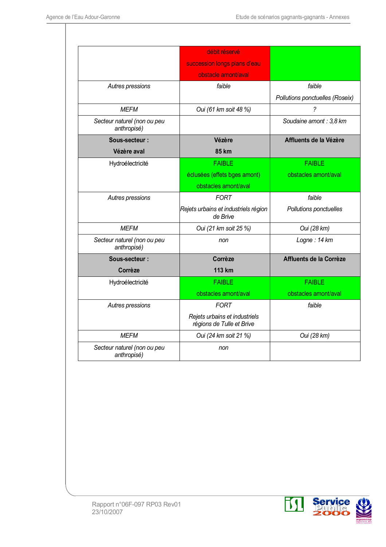|                                            | débit réservé                                              |                                 |  |
|--------------------------------------------|------------------------------------------------------------|---------------------------------|--|
|                                            | succession longs plans d'eau                               |                                 |  |
|                                            | obstacle amont/aval                                        |                                 |  |
| Autres pressions                           | faible                                                     | faible                          |  |
|                                            |                                                            | Pollutions ponctuelles (Roseix) |  |
| <b>MEFM</b>                                | Oui (61 km soit 48 %)                                      | 2                               |  |
| Secteur naturel (non ou peu<br>anthropisé) |                                                            | Soudaine amont: 3,8 km          |  |
| Sous-secteur:                              | Vézère                                                     | Affluents de la Vézère          |  |
| Vézère aval                                | 85 km                                                      |                                 |  |
| Hydroélectricité                           | <b>FAIBLE</b>                                              | <b>FAIBLE</b>                   |  |
|                                            | éclusées (effets bges amont)                               | obstacles amont/aval            |  |
|                                            | obstacles amont/aval                                       |                                 |  |
| Autres pressions                           | <b>FORT</b>                                                | faible                          |  |
|                                            | Rejets urbains et industriels région<br>de Brive           | Pollutions ponctuelles          |  |
| <b>MEFM</b>                                | Oui (21 km soit 25 %)                                      | Oui (28 km)                     |  |
| Secteur naturel (non ou peu<br>anthropisé) | non                                                        | Logne: 14 km                    |  |
| Sous-secteur:                              | Corrèze                                                    | Affluents de la Corrèze         |  |
| Corrèze                                    | 113 km                                                     |                                 |  |
| Hydroélectricité                           | <b>FAIBLE</b>                                              | <b>FAIBLE</b>                   |  |
|                                            | obstacles amont/aval                                       | obstacles amont/aval            |  |
| Autres pressions                           | <b>FORT</b>                                                | faible                          |  |
|                                            | Rejets urbains et industriels<br>régions de Tulle et Brive |                                 |  |
| <b>MEFM</b>                                | Oui (24 km soit 21 %)                                      | Oui (28 km)                     |  |
| Secteur naturel (non ou peu<br>anthropisé) | non                                                        |                                 |  |

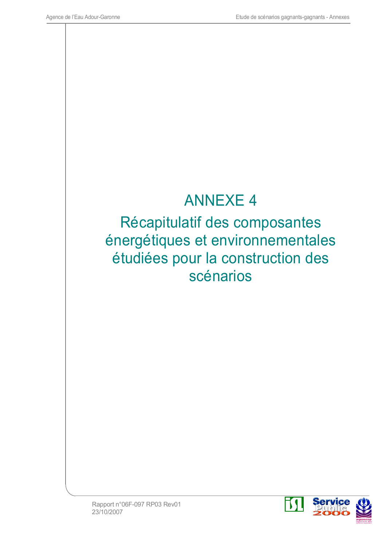#### **ANNEXE 4**

Récapitulatif des composantes énergétiques et environnementales étudiées pour la construction des scénarios